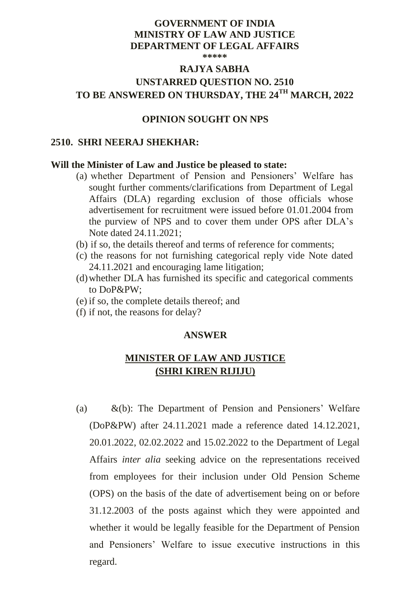# **GOVERNMENT OF INDIA MINISTRY OF LAW AND JUSTICE DEPARTMENT OF LEGAL AFFAIRS**

**\*\*\*\*\***

# **RAJYA SABHA UNSTARRED QUESTION NO. 2510 TO BE ANSWERED ON THURSDAY, THE 24TH MARCH, 2022**

## **OPINION SOUGHT ON NPS**

#### **2510. SHRI NEERAJ SHEKHAR:**

#### **Will the Minister of Law and Justice be pleased to state:**

- (a) whether Department of Pension and Pensioners' Welfare has sought further comments/clarifications from Department of Legal Affairs (DLA) regarding exclusion of those officials whose advertisement for recruitment were issued before 01.01.2004 from the purview of NPS and to cover them under OPS after DLA's Note dated 24.11.2021;
- (b) if so, the details thereof and terms of reference for comments;
- (c) the reasons for not furnishing categorical reply vide Note dated 24.11.2021 and encouraging lame litigation;
- (d)whether DLA has furnished its specific and categorical comments to DoP&PW;
- (e) if so, the complete details thereof; and
- (f) if not, the reasons for delay?

### **ANSWER**

# **MINISTER OF LAW AND JUSTICE (SHRI KIREN RIJIJU)**

(a) &(b): The Department of Pension and Pensioners' Welfare (DoP&PW) after 24.11.2021 made a reference dated 14.12.2021, 20.01.2022, 02.02.2022 and 15.02.2022 to the Department of Legal Affairs *inter alia* seeking advice on the representations received from employees for their inclusion under Old Pension Scheme (OPS) on the basis of the date of advertisement being on or before 31.12.2003 of the posts against which they were appointed and whether it would be legally feasible for the Department of Pension and Pensioners' Welfare to issue executive instructions in this regard.